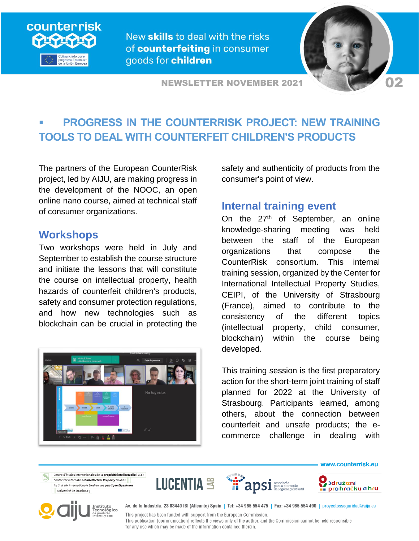

New skills to deal with the risks of counterfeiting in consumer goods for children

**NEWSLETTER NOVEMBER 2021** 



# **PROGRESS IN THE COUNTERRISK PROJECT: NEW TRAINING TOOLS TO DEAL WITH COUNTERFEIT CHILDREN'S PRODUCTS**

The partners of the European CounterRisk project, led by AIJU, are making progress in the development of the NOOC, an open online nano course, aimed at technical staff of consumer organizations.

#### **Workshops**

Two workshops were held in July and September to establish the course structure and initiate the lessons that will constitute the course on intellectual property, health hazards of counterfeit children's products, safety and consumer protection regulations, and how new technologies such as blockchain can be crucial in protecting the



safety and authenticity of products from the consumer's point of view.

### **Internal training event**

On the 27<sup>th</sup> of September, an online knowledge-sharing meeting was held between the staff of the European organizations that compose the CounterRisk consortium. This internal training session, organized by the Center for International Intellectual Property Studies, CEIPI, of the University of Strasbourg (France), aimed to contribute to the consistency of the different topics (intellectual property, child consumer, blockchain) within the course being developed.

This training session is the first preparatory action for the short-term joint training of staff planned for 2022 at the University of Strasbourg. Participants learned, among others, about the connection between counterfeit and unsafe products; the ecommerce challenge in dealing with

www.counterrisk.eu

pro hračku a hru

**Sdružení** 

Centre d'études internationales de la propriété intellectuelle | CEIPI Center for International Intellectual Property Studies Institut für internationale Studien des geistigen Eigentum: Université de Strasbourg



Av. de la Industria, 23 03440 IBI (Alicante) Spain | Tel: +34 965 554 475 | Fax: +34 965 554 490 | proyectosseguridad@aiju.es

This project has been funded with support from the European Commission. This publication [communication] reflects the views only of the author, and the Commission cannot be held responsible for any use which may be made of the information contained therein.

LUCENTIA<sup>S</sup>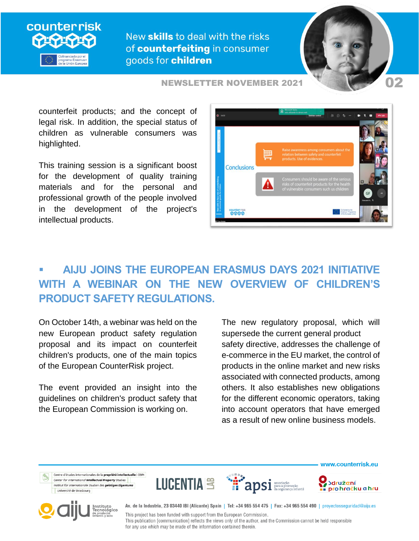



**NEWSLETTER NOVEMBER 2021** 

counterfeit products; and the concept of legal risk. In addition, the special status of children as vulnerable consumers was highlighted.

counterrisk

**Unión Europe** 

This training session is a significant boost for the development of quality training materials and for the personal and professional growth of the people involved in the development of the project's intellectual products.



## **AIJU JOINS THE EUROPEAN ERASMUS DAYS 2021 INITIATIVE WITH A WEBINAR ON THE NEW OVERVIEW OF CHILDREN'S PRODUCT SAFETY REGULATIONS.**

On October 14th, a webinar was held on the new European product safety regulation proposal and its impact on counterfeit children's products, one of the main topics of the European CounterRisk project.

The event provided an insight into the guidelines on children's product safety that the European Commission is working on.

The new regulatory proposal, which will supersede the current general product safety directive, addresses the challenge of e-commerce in the EU market, the control of products in the online market and new risks associated with connected products, among others. It also establishes new obligations for the different economic operators, taking into account operators that have emerged as a result of new online business models.

www.counterrisk.eu

pro hračku a hru

**Sdružení** 

Centre d'études internationales de la propriété intellectuelle | CEIPI Center for International Intellectual Property Studies Institut für internationale Studien des geistigen Eigentums Université de Strasbourg



Av. de la Industria, 23 03440 IBI (Alicante) Spain | Tel: +34 965 554 475 | Fax: +34 965 554 490 | proyectosseguridad@aiju.es

This project has been funded with support from the European Commission. This publication [communication] reflects the views only of the author, and the Commission cannot be held responsible for any use which may be made of the information contained therein.

**LUCENTIA** 을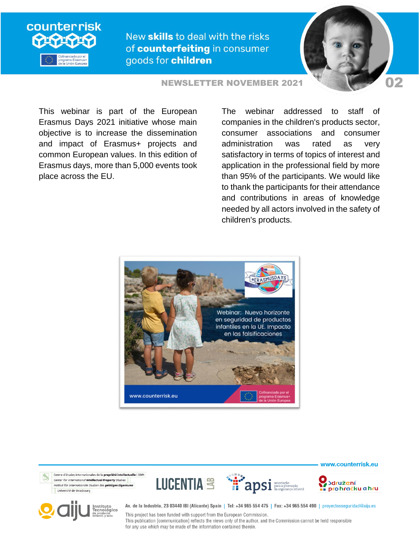

New skills to deal with the risks of counterfeiting in consumer goods for children



**NEWSLETTER NOVEMBER 2021** 

This webinar is part of the European Erasmus Days 2021 initiative whose main objective is to increase the dissemination and impact of Erasmus+ projects and common European values. In this edition of Erasmus days, more than 5,000 events took place across the EU.

The webinar addressed to staff of companies in the children's products sector, consumer associations and consumer administration was rated as very satisfactory in terms of topics of interest and application in the professional field by more than 95% of the participants. We would like to thank the participants for their attendance and contributions in areas of knowledge needed by all actors involved in the safety of children's products.





This publication [communication] reflects the views only of the author, and the Commission cannot be held responsible for any use which may be made of the information contained therein.